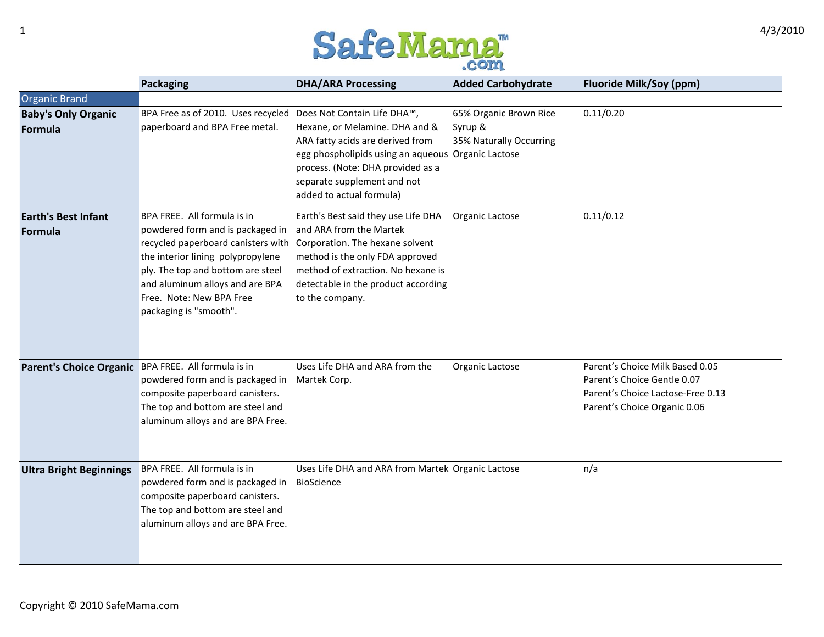

|                                                     | <b>Packaging</b>                                                                                                                                                                                                                                                                                         | <b>DHA/ARA Processing</b>                                                                                                                                                                                                | <b>Added Carbohydrate</b>                                    | <b>Fluoride Milk/Soy (ppm)</b>                                                                                                      |
|-----------------------------------------------------|----------------------------------------------------------------------------------------------------------------------------------------------------------------------------------------------------------------------------------------------------------------------------------------------------------|--------------------------------------------------------------------------------------------------------------------------------------------------------------------------------------------------------------------------|--------------------------------------------------------------|-------------------------------------------------------------------------------------------------------------------------------------|
| <b>Organic Brand</b>                                |                                                                                                                                                                                                                                                                                                          |                                                                                                                                                                                                                          |                                                              |                                                                                                                                     |
| <b>Baby's Only Organic</b><br>Formula               | BPA Free as of 2010. Uses recycled Does Not Contain Life DHA™,<br>paperboard and BPA Free metal.                                                                                                                                                                                                         | Hexane, or Melamine. DHA and &<br>ARA fatty acids are derived from<br>egg phospholipids using an aqueous Organic Lactose<br>process. (Note: DHA provided as a<br>separate supplement and not<br>added to actual formula) | 65% Organic Brown Rice<br>Syrup &<br>35% Naturally Occurring | 0.11/0.20                                                                                                                           |
| <b>Earth's Best Infant</b><br>Formula               | BPA FREE. All formula is in<br>powdered form and is packaged in<br>recycled paperboard canisters with Corporation. The hexane solvent<br>the interior lining polypropylene<br>ply. The top and bottom are steel<br>and aluminum alloys and are BPA<br>Free. Note: New BPA Free<br>packaging is "smooth". | Earth's Best said they use Life DHA<br>and ARA from the Martek<br>method is the only FDA approved<br>method of extraction. No hexane is<br>detectable in the product according<br>to the company.                        | Organic Lactose                                              | 0.11/0.12                                                                                                                           |
| Parent's Choice Organic BPA FREE. All formula is in | powdered form and is packaged in<br>composite paperboard canisters.<br>The top and bottom are steel and<br>aluminum alloys and are BPA Free.                                                                                                                                                             | Uses Life DHA and ARA from the<br>Martek Corp.                                                                                                                                                                           | Organic Lactose                                              | Parent's Choice Milk Based 0.05<br>Parent's Choice Gentle 0.07<br>Parent's Choice Lactose-Free 0.13<br>Parent's Choice Organic 0.06 |
| <b>Ultra Bright Beginnings</b>                      | BPA FREE. All formula is in<br>powdered form and is packaged in<br>composite paperboard canisters.<br>The top and bottom are steel and<br>aluminum alloys and are BPA Free.                                                                                                                              | Uses Life DHA and ARA from Martek Organic Lactose<br>BioScience                                                                                                                                                          |                                                              | n/a                                                                                                                                 |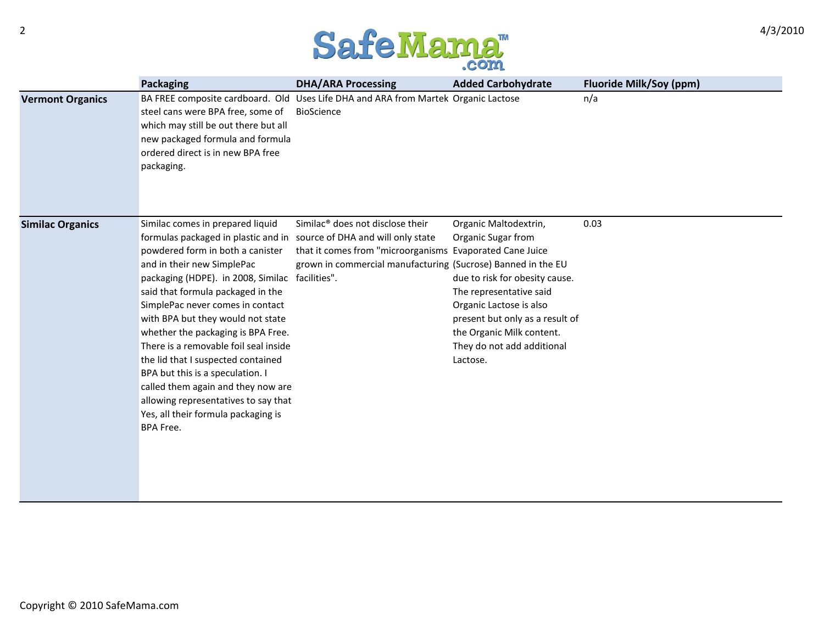

|                         | <b>Packaging</b>                                                                                                                                                                                                                                                                                                                                                                                                                                                                                                                                                                                                                               | <b>DHA/ARA Processing</b>                                                                                                                                                | <b>Added Carbohydrate</b>                                                                                                                                                                                                                     | <b>Fluoride Milk/Soy (ppm)</b> |
|-------------------------|------------------------------------------------------------------------------------------------------------------------------------------------------------------------------------------------------------------------------------------------------------------------------------------------------------------------------------------------------------------------------------------------------------------------------------------------------------------------------------------------------------------------------------------------------------------------------------------------------------------------------------------------|--------------------------------------------------------------------------------------------------------------------------------------------------------------------------|-----------------------------------------------------------------------------------------------------------------------------------------------------------------------------------------------------------------------------------------------|--------------------------------|
| <b>Vermont Organics</b> | steel cans were BPA free, some of<br>which may still be out there but all<br>new packaged formula and formula<br>ordered direct is in new BPA free<br>packaging.                                                                                                                                                                                                                                                                                                                                                                                                                                                                               | BA FREE composite cardboard. Old Uses Life DHA and ARA from Martek Organic Lactose<br><b>BioScience</b>                                                                  |                                                                                                                                                                                                                                               | n/a                            |
| <b>Similac Organics</b> | Similac comes in prepared liquid<br>formulas packaged in plastic and in source of DHA and will only state<br>powdered form in both a canister<br>and in their new SimplePac<br>packaging (HDPE). in 2008, Similac facilities".<br>said that formula packaged in the<br>SimplePac never comes in contact<br>with BPA but they would not state<br>whether the packaging is BPA Free.<br>There is a removable foil seal inside<br>the lid that I suspected contained<br>BPA but this is a speculation. I<br>called them again and they now are<br>allowing representatives to say that<br>Yes, all their formula packaging is<br><b>BPA Free.</b> | Similac <sup>®</sup> does not disclose their<br>that it comes from "microorganisms Evaporated Cane Juice<br>grown in commercial manufacturing (Sucrose) Banned in the EU | Organic Maltodextrin,<br>Organic Sugar from<br>due to risk for obesity cause.<br>The representative said<br>Organic Lactose is also<br>present but only as a result of<br>the Organic Milk content.<br>They do not add additional<br>Lactose. | 0.03                           |